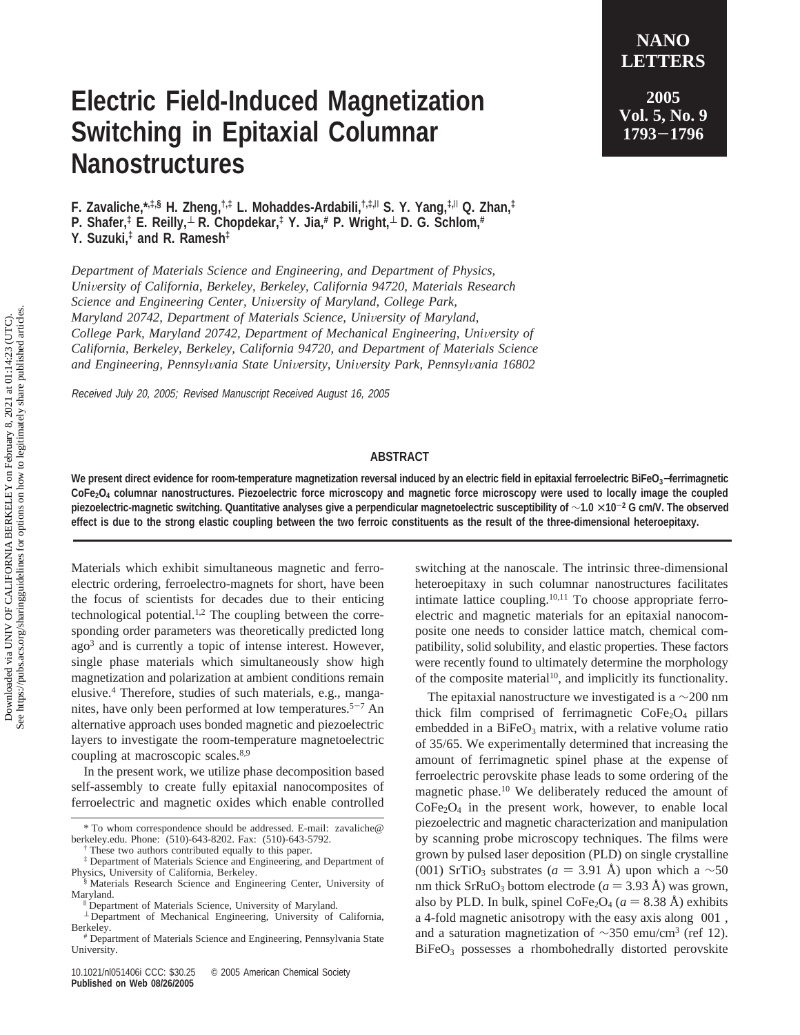## **Electric Field-Induced Magnetization Switching in Epitaxial Columnar Nanostructures**

**F. Zavaliche,\*,‡,§ H. Zheng,†,‡ L. Mohaddes-Ardabili,†,‡,**<sup>|</sup> **S. Y. Yang,‡,**<sup>|</sup> **Q. Zhan,‡ P. Shafer,‡ E. Reilly,**<sup>⊥</sup> **R. Chopdekar,‡ Y. Jia,# P. Wright,**<sup>⊥</sup> **D. G. Schlom,# Y. Suzuki,‡ and R. Ramesh‡**

*Department of Materials Science and Engineering, and Department of Physics, Uni*V*ersity of California, Berkeley, Berkeley, California 94720, Materials Research Science and Engineering Center, University of Maryland, College Park, Maryland 20742, Department of Materials Science, University of Maryland, College Park, Maryland 20742, Department of Mechanical Engineering, University of California, Berkeley, Berkeley, California 94720, and Department of Materials Science and Engineering, Pennsyl*V*ania State Uni*V*ersity, Uni*V*ersity Park, Pennsyl*V*ania 16802*

Received July 20, 2005; Revised Manuscript Received August 16, 2005

## **ABSTRACT**

**We present direct evidence for room-temperature magnetization reversal induced by an electric field in epitaxial ferroelectric BiFeO3**−**ferrimagnetic** CoFe<sub>2</sub>O<sub>4</sub> columnar nanostructures. Piezoelectric force microscopy and magnetic force microscopy were used to locally image the coupled **piezoelectric-magnetic switching. Quantitative analyses give a perpendicular magnetoelectric susceptibility of** ∼**1.0** × **<sup>10</sup>**-**<sup>2</sup> G cm/V. The observed effect is due to the strong elastic coupling between the two ferroic constituents as the result of the three-dimensional heteroepitaxy.**

Materials which exhibit simultaneous magnetic and ferroelectric ordering, ferroelectro-magnets for short, have been the focus of scientists for decades due to their enticing technological potential.<sup>1,2</sup> The coupling between the corresponding order parameters was theoretically predicted long ago3 and is currently a topic of intense interest. However, single phase materials which simultaneously show high magnetization and polarization at ambient conditions remain elusive.4 Therefore, studies of such materials, e.g., manganites, have only been performed at low temperatures.<sup>5-7</sup> An alternative approach uses bonded magnetic and piezoelectric layers to investigate the room-temperature magnetoelectric coupling at macroscopic scales.<sup>8,9</sup>

In the present work, we utilize phase decomposition based self-assembly to create fully epitaxial nanocomposites of ferroelectric and magnetic oxides which enable controlled switching at the nanoscale. The intrinsic three-dimensional heteroepitaxy in such columnar nanostructures facilitates intimate lattice coupling.10,11 To choose appropriate ferroelectric and magnetic materials for an epitaxial nanocomposite one needs to consider lattice match, chemical compatibility, solid solubility, and elastic properties. These factors were recently found to ultimately determine the morphology of the composite material<sup>10</sup>, and implicitly its functionality.

The epitaxial nanostructure we investigated is a  $\sim$ 200 nm thick film comprised of ferrimagnetic  $\text{CoFe}_2\text{O}_4$  pillars embedded in a  $BiFeO<sub>3</sub>$  matrix, with a relative volume ratio of 35/65. We experimentally determined that increasing the amount of ferrimagnetic spinel phase at the expense of ferroelectric perovskite phase leads to some ordering of the magnetic phase.<sup>10</sup> We deliberately reduced the amount of  $CoFe<sub>2</sub>O<sub>4</sub>$  in the present work, however, to enable local piezoelectric and magnetic characterization and manipulation by scanning probe microscopy techniques. The films were grown by pulsed laser deposition (PLD) on single crystalline (001) SrTiO<sub>3</sub> substrates (*a* = 3.91 Å) upon which a  $\sim$ 50 nm thick SrRuO<sub>3</sub> bottom electrode ( $a = 3.93$  Å) was grown, also by PLD. In bulk, spinel CoFe<sub>2</sub>O<sub>4</sub> ( $a = 8.38$  Å) exhibits a 4-fold magnetic anisotropy with the easy axis along 〈001〉, and a saturation magnetization of  $\sim$ 350 emu/cm<sup>3</sup> (ref 12). BiFeO3 possesses a rhombohedrally distorted perovskite

**2005 Vol. 5, No. 9 <sup>1793</sup>**-**<sup>1796</sup>**

**NANO LETTERS**

<sup>\*</sup> To whom correspondence should be addressed. E-mail: zavaliche@ berkeley.edu. Phone: (510)-643-8202. Fax: (510)-643-5792.

<sup>†</sup> These two authors contributed equally to this paper.

<sup>‡</sup> Department of Materials Science and Engineering, and Department of Physics, University of California, Berkeley.

<sup>§</sup> Materials Research Science and Engineering Center, University of Maryland.

<sup>&</sup>lt;sup>II</sup> Department of Materials Science, University of Maryland.

<sup>⊥</sup> Department of Mechanical Engineering, University of California,

<sup>&</sup>lt;sup>#</sup> Department of Materials Science and Engineering, Pennsylvania State University.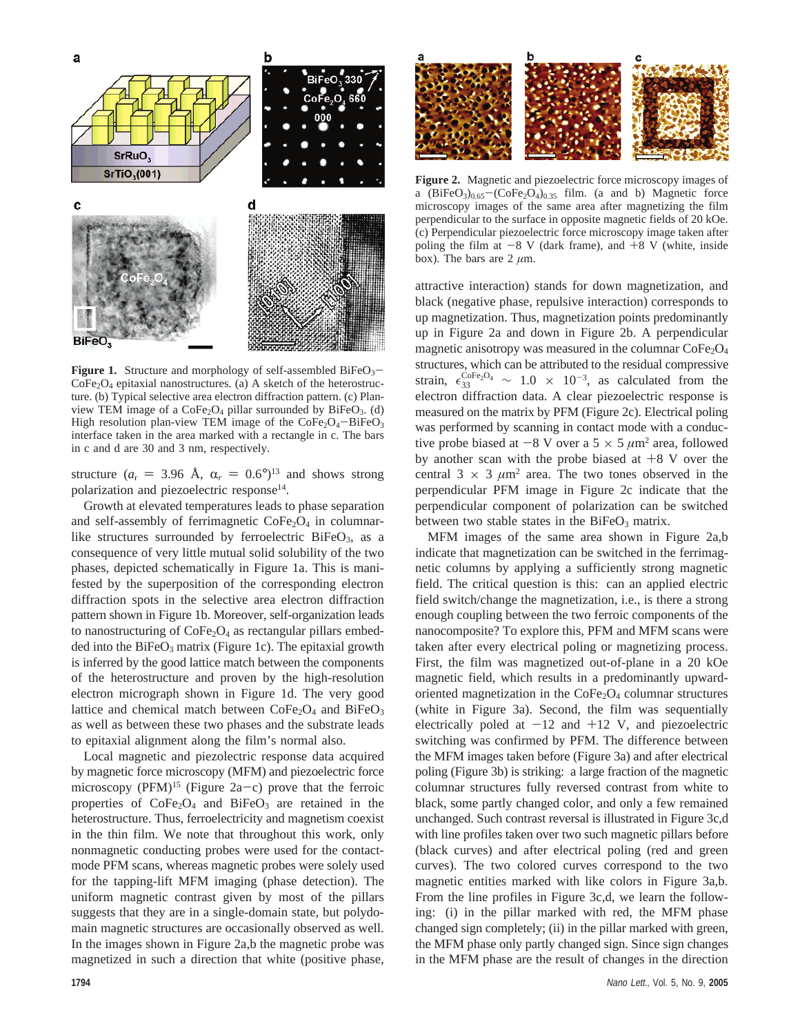

**Figure 1.** Structure and morphology of self-assembled  $BiFeO<sub>3</sub>$  $CoFe<sub>2</sub>O<sub>4</sub>$  epitaxial nanostructures. (a) A sketch of the heterostructure. (b) Typical selective area electron diffraction pattern. (c) Planview TEM image of a  $CoFe<sub>2</sub>O<sub>4</sub>$  pillar surrounded by BiFeO<sub>3</sub>. (d) High resolution plan-view TEM image of the  $CoFe<sub>2</sub>O<sub>4</sub> - BiFeO<sub>3</sub>$ interface taken in the area marked with a rectangle in c. The bars in c and d are 30 and 3 nm, respectively.

structure ( $a_r = 3.96$  Å,  $\alpha_r = 0.6^{\circ}$ )<sup>13</sup> and shows strong polarization and piezoelectric response<sup>14</sup>.

Growth at elevated temperatures leads to phase separation and self-assembly of ferrimagnetic  $CoFe<sub>2</sub>O<sub>4</sub>$  in columnarlike structures surrounded by ferroelectric BiFeO<sub>3</sub>, as a consequence of very little mutual solid solubility of the two phases, depicted schematically in Figure 1a. This is manifested by the superposition of the corresponding electron diffraction spots in the selective area electron diffraction pattern shown in Figure 1b. Moreover, self-organization leads to nanostructuring of  $CoFe<sub>2</sub>O<sub>4</sub>$  as rectangular pillars embedded into the  $BiFeO<sub>3</sub>$  matrix (Figure 1c). The epitaxial growth is inferred by the good lattice match between the components of the heterostructure and proven by the high-resolution electron micrograph shown in Figure 1d. The very good lattice and chemical match between  $\text{CoFe}_2\text{O}_4$  and  $\text{BiFeO}_3$ as well as between these two phases and the substrate leads to epitaxial alignment along the film's normal also.

Local magnetic and piezolectric response data acquired by magnetic force microscopy (MFM) and piezoelectric force microscopy (PFM)<sup>15</sup> (Figure 2a-c) prove that the ferroic properties of  $CoFe<sub>2</sub>O<sub>4</sub>$  and  $BiFeO<sub>3</sub>$  are retained in the heterostructure. Thus, ferroelectricity and magnetism coexist in the thin film. We note that throughout this work, only nonmagnetic conducting probes were used for the contactmode PFM scans, whereas magnetic probes were solely used for the tapping-lift MFM imaging (phase detection). The uniform magnetic contrast given by most of the pillars suggests that they are in a single-domain state, but polydomain magnetic structures are occasionally observed as well. In the images shown in Figure 2a,b the magnetic probe was magnetized in such a direction that white (positive phase,



**Figure 2.** Magnetic and piezoelectric force microscopy images of a  $(BiFeO<sub>3</sub>)<sub>0.65</sub> - (CoFe<sub>2</sub>O<sub>4</sub>)<sub>0.35</sub>$  film. (a and b) Magnetic force microscopy images of the same area after magnetizing the film perpendicular to the surface in opposite magnetic fields of 20 kOe. (c) Perpendicular piezoelectric force microscopy image taken after poling the film at  $-8$  V (dark frame), and  $+8$  V (white, inside box). The bars are  $2 \mu m$ .

attractive interaction) stands for down magnetization, and black (negative phase, repulsive interaction) corresponds to up magnetization. Thus, magnetization points predominantly up in Figure 2a and down in Figure 2b. A perpendicular magnetic anisotropy was measured in the columnar  $\text{CoFe}_2\text{O}_4$ structures, which can be attributed to the residual compressive strain,  $\epsilon_{33}^{\text{CoFe}_2\text{O}_4} \sim 1.0 \times 10^{-3}$ , as calculated from the electron diffraction data. A clear piezoelectric response is measured on the matrix by PFM (Figure 2c). Electrical poling was performed by scanning in contact mode with a conductive probe biased at  $-8$  V over a  $5 \times 5 \mu m^2$  area, followed by another scan with the probe biased at  $+8$  V over the central  $3 \times 3 \mu m^2$  area. The two tones observed in the perpendicular PFM image in Figure 2c indicate that the perpendicular component of polarization can be switched between two stable states in the  $BiFeO<sub>3</sub>$  matrix.

MFM images of the same area shown in Figure 2a,b indicate that magnetization can be switched in the ferrimagnetic columns by applying a sufficiently strong magnetic field. The critical question is this: can an applied electric field switch/change the magnetization, i.e., is there a strong enough coupling between the two ferroic components of the nanocomposite? To explore this, PFM and MFM scans were taken after every electrical poling or magnetizing process. First, the film was magnetized out-of-plane in a 20 kOe magnetic field, which results in a predominantly upwardoriented magnetization in the  $\text{CoFe}_2\text{O}_4$  columnar structures (white in Figure 3a). Second, the film was sequentially electrically poled at  $-12$  and  $+12$  V, and piezoelectric switching was confirmed by PFM. The difference between the MFM images taken before (Figure 3a) and after electrical poling (Figure 3b) is striking: a large fraction of the magnetic columnar structures fully reversed contrast from white to black, some partly changed color, and only a few remained unchanged. Such contrast reversal is illustrated in Figure 3c,d with line profiles taken over two such magnetic pillars before (black curves) and after electrical poling (red and green curves). The two colored curves correspond to the two magnetic entities marked with like colors in Figure 3a,b. From the line profiles in Figure 3c,d, we learn the following: (i) in the pillar marked with red, the MFM phase changed sign completely; (ii) in the pillar marked with green, the MFM phase only partly changed sign. Since sign changes in the MFM phase are the result of changes in the direction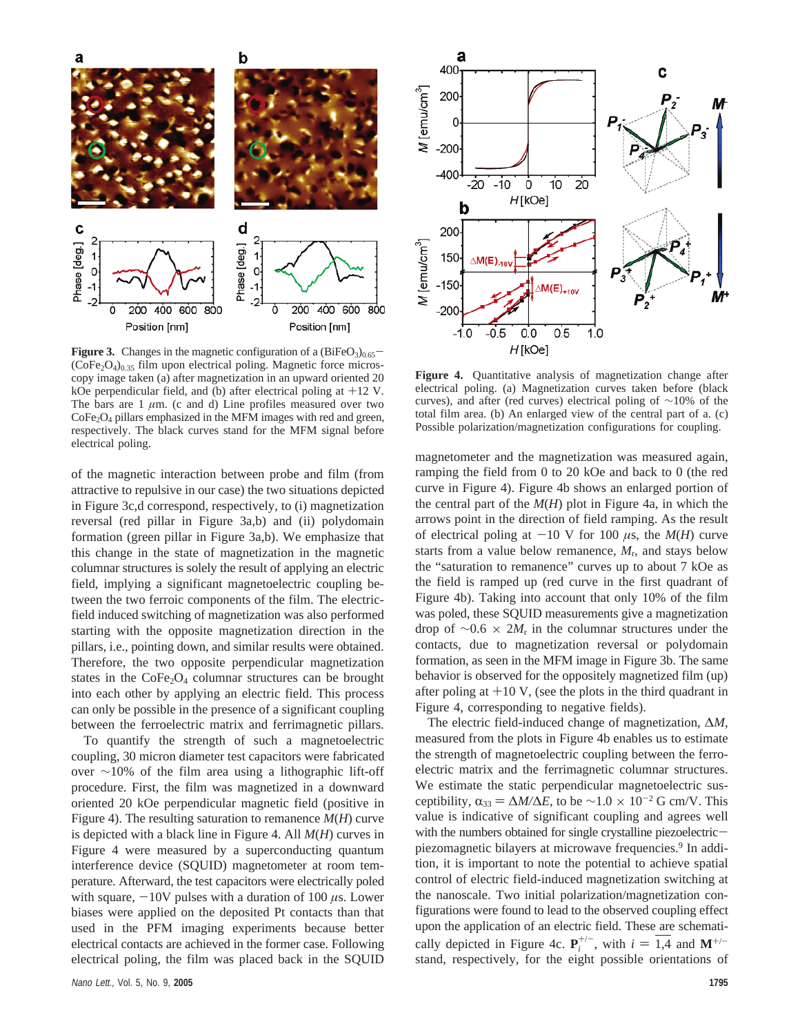



**Figure 3.** Changes in the magnetic configuration of a  $(BiFeO<sub>3</sub>)<sub>0.65</sub>$  $(CoFe<sub>2</sub>O<sub>4</sub>)<sub>0.35</sub>$  film upon electrical poling. Magnetic force microscopy image taken (a) after magnetization in an upward oriented 20 kOe perpendicular field, and (b) after electrical poling at +12 V. The bars are  $1 \mu m$ . (c and d) Line profiles measured over two CoFe2O4 pillars emphasized in the MFM images with red and green, respectively. The black curves stand for the MFM signal before electrical poling.

of the magnetic interaction between probe and film (from attractive to repulsive in our case) the two situations depicted in Figure 3c,d correspond, respectively, to (i) magnetization reversal (red pillar in Figure 3a,b) and (ii) polydomain formation (green pillar in Figure 3a,b). We emphasize that this change in the state of magnetization in the magnetic columnar structures is solely the result of applying an electric field, implying a significant magnetoelectric coupling between the two ferroic components of the film. The electricfield induced switching of magnetization was also performed starting with the opposite magnetization direction in the pillars, i.e., pointing down, and similar results were obtained. Therefore, the two opposite perpendicular magnetization states in the  $CoFe<sub>2</sub>O<sub>4</sub>$  columnar structures can be brought into each other by applying an electric field. This process can only be possible in the presence of a significant coupling between the ferroelectric matrix and ferrimagnetic pillars.

To quantify the strength of such a magnetoelectric coupling, 30 micron diameter test capacitors were fabricated over ∼10% of the film area using a lithographic lift-off procedure. First, the film was magnetized in a downward oriented 20 kOe perpendicular magnetic field (positive in Figure 4). The resulting saturation to remanence *M*(*H*) curve is depicted with a black line in Figure 4. All *M*(*H*) curves in Figure 4 were measured by a superconducting quantum interference device (SQUID) magnetometer at room temperature. Afterward, the test capacitors were electrically poled with square,  $-10V$  pulses with a duration of  $100 \mu s$ . Lower biases were applied on the deposited Pt contacts than that used in the PFM imaging experiments because better electrical contacts are achieved in the former case. Following electrical poling, the film was placed back in the SQUID



**Figure 4.** Quantitative analysis of magnetization change after electrical poling. (a) Magnetization curves taken before (black curves), and after (red curves) electrical poling of ∼10% of the total film area. (b) An enlarged view of the central part of a. (c) Possible polarization/magnetization configurations for coupling.

magnetometer and the magnetization was measured again, ramping the field from 0 to 20 kOe and back to 0 (the red curve in Figure 4). Figure 4b shows an enlarged portion of the central part of the  $M(H)$  plot in Figure 4a, in which the arrows point in the direction of field ramping. As the result of electrical poling at  $-10$  V for 100  $\mu$ s, the  $M(H)$  curve starts from a value below remanence, *M*r, and stays below the "saturation to remanence" curves up to about 7 kOe as the field is ramped up (red curve in the first quadrant of Figure 4b). Taking into account that only 10% of the film was poled, these SQUID measurements give a magnetization drop of ∼0.6 × 2*M*<sup>r</sup> in the columnar structures under the contacts, due to magnetization reversal or polydomain formation, as seen in the MFM image in Figure 3b. The same behavior is observed for the oppositely magnetized film (up) after poling at  $+10$  V, (see the plots in the third quadrant in Figure 4, corresponding to negative fields).

The electric field-induced change of magnetization, ∆*M*, measured from the plots in Figure 4b enables us to estimate the strength of magnetoelectric coupling between the ferroelectric matrix and the ferrimagnetic columnar structures. We estimate the static perpendicular magnetoelectric susceptibility,  $\alpha_{33} = \Delta M/\Delta E$ , to be ~1.0 × 10<sup>-2</sup> G cm/V. This value is indicative of significant coupling and agrees well with the numbers obtained for single crystalline piezoelectricpiezomagnetic bilayers at microwave frequencies.9 In addition, it is important to note the potential to achieve spatial control of electric field-induced magnetization switching at the nanoscale. Two initial polarization/magnetization configurations were found to lead to the observed coupling effect upon the application of an electric field. These are schematically depicted in Figure 4c.  $P_i^{+/-}$ , with  $i = \overline{1,4}$  and  $M^{+/-}$ <br>stand, respectively, for the eight possible orientations of stand, respectively, for the eight possible orientations of